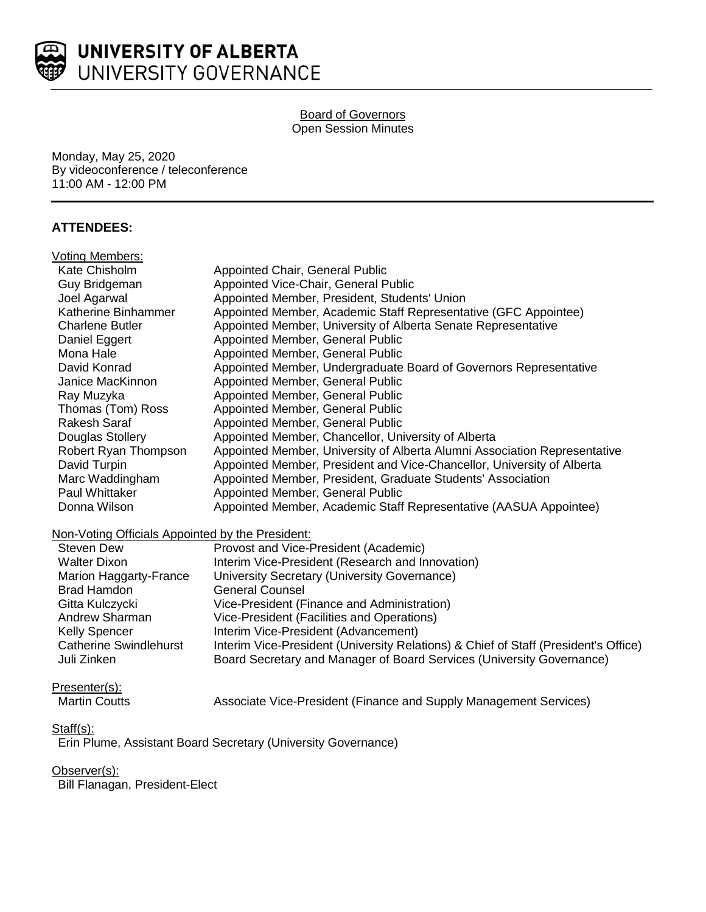

#### Board of Governors Open Session Minutes

Monday, May 25, 2020 By videoconference / teleconference 11:00 AM - 12:00 PM

# **ATTENDEES:**

| Voting Members:                                  |                                                                                     |
|--------------------------------------------------|-------------------------------------------------------------------------------------|
| Kate Chisholm                                    | Appointed Chair, General Public                                                     |
| Guy Bridgeman                                    | Appointed Vice-Chair, General Public                                                |
| Joel Agarwal                                     | Appointed Member, President, Students' Union                                        |
| Katherine Binhammer                              | Appointed Member, Academic Staff Representative (GFC Appointee)                     |
| <b>Charlene Butler</b>                           | Appointed Member, University of Alberta Senate Representative                       |
| Daniel Eggert                                    | Appointed Member, General Public                                                    |
| Mona Hale                                        | Appointed Member, General Public                                                    |
| David Konrad                                     | Appointed Member, Undergraduate Board of Governors Representative                   |
| Janice MacKinnon                                 | Appointed Member, General Public                                                    |
| Ray Muzyka                                       | Appointed Member, General Public                                                    |
| Thomas (Tom) Ross                                | Appointed Member, General Public                                                    |
| <b>Rakesh Saraf</b>                              | Appointed Member, General Public                                                    |
| Douglas Stollery                                 | Appointed Member, Chancellor, University of Alberta                                 |
| Robert Ryan Thompson                             | Appointed Member, University of Alberta Alumni Association Representative           |
| David Turpin                                     | Appointed Member, President and Vice-Chancellor, University of Alberta              |
| Marc Waddingham                                  | Appointed Member, President, Graduate Students' Association                         |
| Paul Whittaker                                   | Appointed Member, General Public                                                    |
| Donna Wilson                                     | Appointed Member, Academic Staff Representative (AASUA Appointee)                   |
| Non-Voting Officials Appointed by the President: |                                                                                     |
| Steven Dew                                       | Provost and Vice-President (Academic)                                               |
| <b>Walter Dixon</b>                              | Interim Vice-President (Research and Innovation)                                    |
| <b>Marion Haggarty-France</b>                    | University Secretary (University Governance)                                        |
| <b>Brad Hamdon</b>                               | <b>General Counsel</b>                                                              |
| Gitta Kulczycki                                  | Vice-President (Finance and Administration)                                         |
| Andrew Sharman                                   | Vice-President (Facilities and Operations)                                          |
| <b>Kelly Spencer</b>                             | Interim Vice-President (Advancement)                                                |
| <b>Catherine Swindlehurst</b>                    | Interim Vice-President (University Relations) & Chief of Staff (President's Office) |
| Juli Zinken                                      | Board Secretary and Manager of Board Services (University Governance)               |
|                                                  |                                                                                     |

## Presenter(s):

Martin Coutts **Associate Vice-President (Finance and Supply Management Services)** 

## Staff(s):

Erin Plume, Assistant Board Secretary (University Governance)

# Observer(s):

Bill Flanagan, President-Elect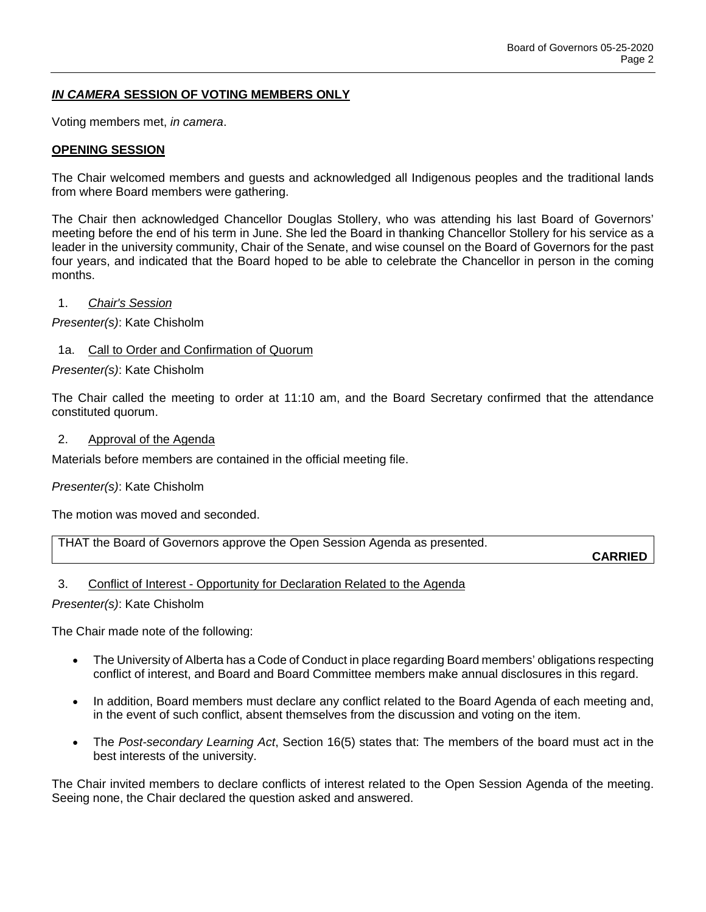# *IN CAMERA* **SESSION OF VOTING MEMBERS ONLY**

Voting members met, *in camera*.

### **OPENING SESSION**

The Chair welcomed members and guests and acknowledged all Indigenous peoples and the traditional lands from where Board members were gathering.

The Chair then acknowledged Chancellor Douglas Stollery, who was attending his last Board of Governors' meeting before the end of his term in June. She led the Board in thanking Chancellor Stollery for his service as a leader in the university community, Chair of the Senate, and wise counsel on the Board of Governors for the past four years, and indicated that the Board hoped to be able to celebrate the Chancellor in person in the coming months.

#### 1. *Chair's Session*

*Presenter(s)*: Kate Chisholm

#### 1a. Call to Order and Confirmation of Quorum

*Presenter(s)*: Kate Chisholm

The Chair called the meeting to order at 11:10 am, and the Board Secretary confirmed that the attendance constituted quorum.

#### 2. Approval of the Agenda

Materials before members are contained in the official meeting file.

### *Presenter(s)*: Kate Chisholm

The motion was moved and seconded.

THAT the Board of Governors approve the Open Session Agenda as presented.

### **CARRIED**

### 3. Conflict of Interest - Opportunity for Declaration Related to the Agenda

*Presenter(s)*: Kate Chisholm

The Chair made note of the following:

- The University of Alberta has a Code of Conduct in place regarding Board members' obligations respecting conflict of interest, and Board and Board Committee members make annual disclosures in this regard.
- In addition, Board members must declare any conflict related to the Board Agenda of each meeting and, in the event of such conflict, absent themselves from the discussion and voting on the item.
- The *Post-secondary Learning Act*, Section 16(5) states that: The members of the board must act in the best interests of the university.

The Chair invited members to declare conflicts of interest related to the Open Session Agenda of the meeting. Seeing none, the Chair declared the question asked and answered.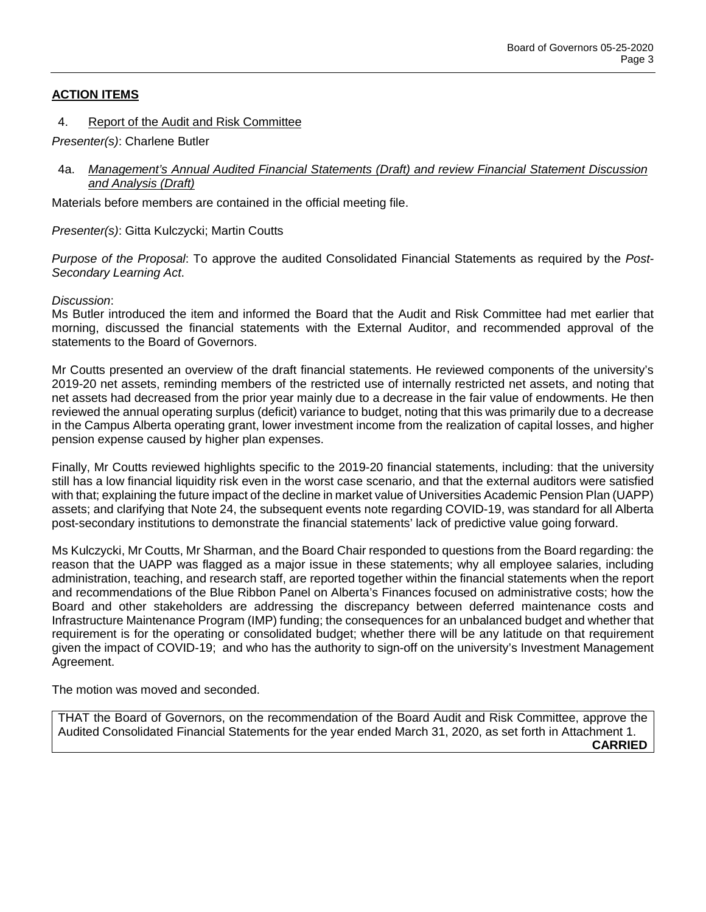## **ACTION ITEMS**

#### 4. Report of the Audit and Risk Committee

*Presenter(s)*: Charlene Butler

4a. *Management's Annual Audited Financial Statements (Draft) and review Financial Statement Discussion and Analysis (Draft)*

Materials before members are contained in the official meeting file.

*Presenter(s)*: Gitta Kulczycki; Martin Coutts

*Purpose of the Proposal*: To approve the audited Consolidated Financial Statements as required by the *Post-Secondary Learning Act*.

#### *Discussion*:

Ms Butler introduced the item and informed the Board that the Audit and Risk Committee had met earlier that morning, discussed the financial statements with the External Auditor, and recommended approval of the statements to the Board of Governors.

Mr Coutts presented an overview of the draft financial statements. He reviewed components of the university's 2019-20 net assets, reminding members of the restricted use of internally restricted net assets, and noting that net assets had decreased from the prior year mainly due to a decrease in the fair value of endowments. He then reviewed the annual operating surplus (deficit) variance to budget, noting that this was primarily due to a decrease in the Campus Alberta operating grant, lower investment income from the realization of capital losses, and higher pension expense caused by higher plan expenses.

Finally, Mr Coutts reviewed highlights specific to the 2019-20 financial statements, including: that the university still has a low financial liquidity risk even in the worst case scenario, and that the external auditors were satisfied with that; explaining the future impact of the decline in market value of Universities Academic Pension Plan (UAPP) assets; and clarifying that Note 24, the subsequent events note regarding COVID-19, was standard for all Alberta post-secondary institutions to demonstrate the financial statements' lack of predictive value going forward.

Ms Kulczycki, Mr Coutts, Mr Sharman, and the Board Chair responded to questions from the Board regarding: the reason that the UAPP was flagged as a major issue in these statements; why all employee salaries, including administration, teaching, and research staff, are reported together within the financial statements when the report and recommendations of the Blue Ribbon Panel on Alberta's Finances focused on administrative costs; how the Board and other stakeholders are addressing the discrepancy between deferred maintenance costs and Infrastructure Maintenance Program (IMP) funding; the consequences for an unbalanced budget and whether that requirement is for the operating or consolidated budget; whether there will be any latitude on that requirement given the impact of COVID-19; and who has the authority to sign-off on the university's Investment Management Agreement.

The motion was moved and seconded.

THAT the Board of Governors, on the recommendation of the Board Audit and Risk Committee, approve the Audited Consolidated Financial Statements for the year ended March 31, 2020, as set forth in Attachment 1. **CARRIED**